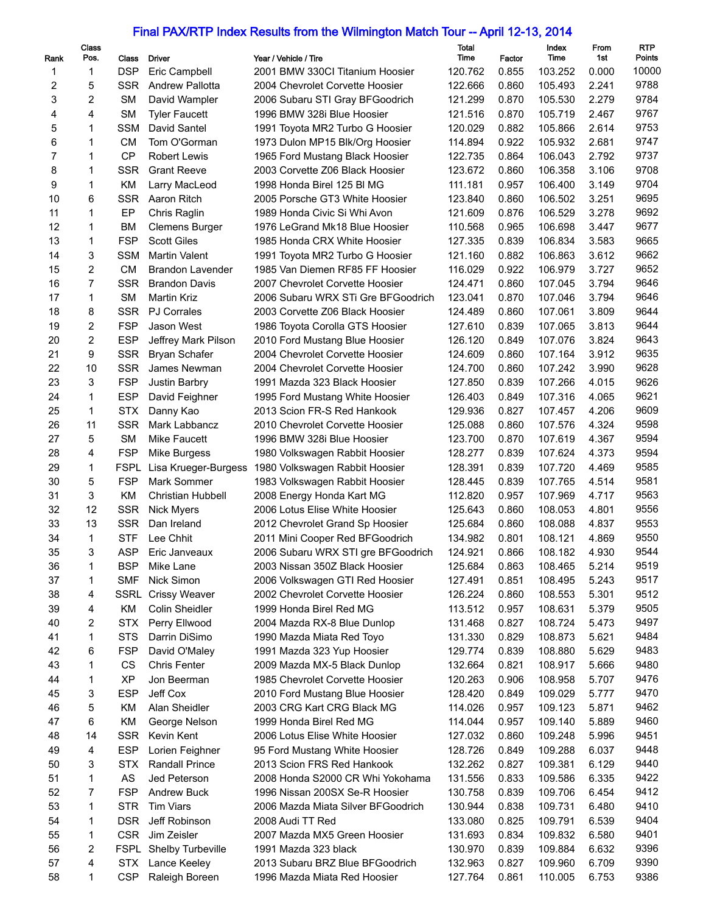## Final PAX/RTP Index Results from the Wilmington Match Tour -- April 12-13, 2014

| Rank | Class<br>Pos. | Class                   | <b>Driver</b>             | Year / Vehicle / Tire                                                | Total<br>Time | Factor | Index<br>Time      | From<br>1st    | <b>RTP</b><br>Points |
|------|---------------|-------------------------|---------------------------|----------------------------------------------------------------------|---------------|--------|--------------------|----------------|----------------------|
| 1    | 1             | <b>DSP</b>              | Eric Campbell             | 2001 BMW 330Cl Titanium Hoosier                                      | 120.762       | 0.855  | 103.252            | 0.000          | 10000                |
| 2    | 5             | <b>SSR</b>              | Andrew Pallotta           | 2004 Chevrolet Corvette Hoosier                                      | 122.666       | 0.860  | 105.493            | 2.241          | 9788                 |
| 3    | 2             | <b>SM</b>               | David Wampler             | 2006 Subaru STI Gray BFGoodrich                                      | 121.299       | 0.870  | 105.530            | 2.279          | 9784                 |
| 4    | 4             | <b>SM</b>               | <b>Tyler Faucett</b>      | 1996 BMW 328i Blue Hoosier                                           | 121.516       | 0.870  | 105.719            | 2.467          | 9767                 |
| 5    | 1             | <b>SSM</b>              | David Santel              | 1991 Toyota MR2 Turbo G Hoosier                                      | 120.029       | 0.882  | 105.866            | 2.614          | 9753                 |
| 6    | 1             | <b>CM</b>               | Tom O'Gorman              | 1973 Dulon MP15 Blk/Org Hoosier                                      | 114.894       | 0.922  | 105.932            | 2.681          | 9747                 |
| 7    | 1             | <b>CP</b>               | <b>Robert Lewis</b>       | 1965 Ford Mustang Black Hoosier                                      | 122.735       | 0.864  | 106.043            | 2.792          | 9737                 |
| 8    | 1             | <b>SSR</b>              | <b>Grant Reeve</b>        | 2003 Corvette Z06 Black Hoosier                                      | 123.672       | 0.860  | 106.358            | 3.106          | 9708                 |
| 9    | 1             | KM                      | Larry MacLeod             | 1998 Honda Birel 125 Bl MG                                           | 111.181       | 0.957  | 106.400            | 3.149          | 9704                 |
| 10   | 6             | <b>SSR</b>              | Aaron Ritch               | 2005 Porsche GT3 White Hoosier                                       | 123.840       | 0.860  | 106.502            | 3.251          | 9695                 |
| 11   | 1             | EP                      | Chris Raglin              | 1989 Honda Civic Si Whi Avon                                         | 121.609       | 0.876  | 106.529            | 3.278          | 9692                 |
| 12   | 1             | <b>BM</b>               | <b>Clemens Burger</b>     | 1976 LeGrand Mk18 Blue Hoosier                                       | 110.568       | 0.965  | 106.698            | 3.447          | 9677                 |
| 13   | 1             | <b>FSP</b>              | <b>Scott Giles</b>        | 1985 Honda CRX White Hoosier                                         | 127.335       | 0.839  | 106.834            | 3.583          | 9665                 |
| 14   | 3             | <b>SSM</b>              | <b>Martin Valent</b>      | 1991 Toyota MR2 Turbo G Hoosier                                      | 121.160       | 0.882  | 106.863            | 3.612          | 9662                 |
| 15   | 2             | <b>CM</b>               | Brandon Lavender          | 1985 Van Diemen RF85 FF Hoosier                                      | 116.029       | 0.922  | 106.979            | 3.727          | 9652                 |
| 16   | 7             | <b>SSR</b>              | <b>Brandon Davis</b>      | 2007 Chevrolet Corvette Hoosier                                      | 124.471       | 0.860  | 107.045            | 3.794          | 9646                 |
| 17   | 1             | <b>SM</b>               | <b>Martin Kriz</b>        | 2006 Subaru WRX STi Gre BFGoodrich                                   | 123.041       | 0.870  | 107.046            | 3.794          | 9646                 |
| 18   | 8             | <b>SSR</b>              | <b>PJ Corrales</b>        | 2003 Corvette Z06 Black Hoosier                                      | 124.489       | 0.860  | 107.061            | 3.809          | 9644                 |
| 19   | 2             | <b>FSP</b>              | Jason West                | 1986 Toyota Corolla GTS Hoosier                                      | 127.610       | 0.839  | 107.065            | 3.813          | 9644                 |
| 20   | 2             | <b>ESP</b>              | Jeffrey Mark Pilson       | 2010 Ford Mustang Blue Hoosier                                       | 126.120       | 0.849  | 107.076            | 3.824          | 9643                 |
| 21   | 9             | <b>SSR</b>              | <b>Bryan Schafer</b>      | 2004 Chevrolet Corvette Hoosier                                      | 124.609       | 0.860  | 107.164            | 3.912          | 9635                 |
| 22   | 10            | <b>SSR</b>              | James Newman              | 2004 Chevrolet Corvette Hoosier                                      | 124.700       | 0.860  | 107.242            | 3.990          | 9628                 |
| 23   | 3             | <b>FSP</b>              | Justin Barbry             | 1991 Mazda 323 Black Hoosier                                         | 127.850       | 0.839  | 107.266            | 4.015          | 9626                 |
| 24   | 1             | <b>ESP</b>              | David Feighner            | 1995 Ford Mustang White Hoosier                                      | 126.403       | 0.849  | 107.316            | 4.065          | 9621                 |
| 25   | 1             | <b>STX</b>              | Danny Kao                 | 2013 Scion FR-S Red Hankook                                          | 129.936       | 0.827  | 107.457            | 4.206          | 9609                 |
| 26   | 11            | <b>SSR</b>              | Mark Labbancz             | 2010 Chevrolet Corvette Hoosier                                      | 125.088       | 0.860  | 107.576            | 4.324          | 9598                 |
| 27   | 5             | <b>SM</b>               | Mike Faucett              | 1996 BMW 328i Blue Hoosier                                           | 123.700       | 0.870  | 107.619            | 4.367          | 9594                 |
| 28   | 4             | <b>FSP</b>              | Mike Burgess              | 1980 Volkswagen Rabbit Hoosier                                       | 128.277       | 0.839  | 107.624            | 4.373          | 9594                 |
| 29   | 1             | <b>FSPL</b>             | Lisa Krueger-Burgess      | 1980 Volkswagen Rabbit Hoosier                                       | 128.391       | 0.839  | 107.720            | 4.469          | 9585                 |
| 30   | 5             | <b>FSP</b>              | Mark Sommer               | 1983 Volkswagen Rabbit Hoosier                                       | 128.445       | 0.839  | 107.765            | 4.514          | 9581                 |
| 31   | 3             | KM                      | <b>Christian Hubbell</b>  | 2008 Energy Honda Kart MG                                            | 112.820       | 0.957  | 107.969            | 4.717          | 9563                 |
| 32   | 12            | <b>SSR</b>              |                           | 2006 Lotus Elise White Hoosier                                       | 125.643       | 0.860  | 108.053            | 4.801          | 9556                 |
| 33   | 13            | <b>SSR</b>              | Nick Myers<br>Dan Ireland | 2012 Chevrolet Grand Sp Hoosier                                      | 125.684       | 0.860  | 108.088            | 4.837          | 9553                 |
| 34   | $\mathbf{1}$  | <b>STF</b>              | Lee Chhit                 |                                                                      | 134.982       | 0.801  | 108.121            | 4.869          | 9550                 |
| 35   | 3             | <b>ASP</b>              | Eric Janveaux             | 2011 Mini Cooper Red BFGoodrich                                      | 124.921       | 0.866  | 108.182            | 4.930          | 9544                 |
| 36   | 1             | <b>BSP</b>              | Mike Lane                 | 2006 Subaru WRX STI gre BFGoodrich<br>2003 Nissan 350Z Black Hoosier | 125.684       | 0.863  | 108.465            | 5.214          | 9519                 |
|      |               | <b>SMF</b>              | Nick Simon                |                                                                      |               |        | 108.495            |                | 9517                 |
| 37   | 1             |                         | <b>Crissy Weaver</b>      | 2006 Volkswagen GTI Red Hoosier<br>2002 Chevrolet Corvette Hoosier   | 127.491       | 0.851  |                    | 5.243<br>5.301 | 9512                 |
| 38   | 4             | SSRL                    |                           |                                                                      | 126.224       | 0.860  | 108.553            |                |                      |
| 39   | 4             | KM                      | Colin Sheidler            | 1999 Honda Birel Red MG                                              | 113.512       | 0.957  | 108.631            | 5.379          | 9505                 |
| 40   | 2             | <b>STX</b>              | Perry Ellwood             | 2004 Mazda RX-8 Blue Dunlop                                          | 131.468       | 0.827  | 108.724            | 5.473          | 9497<br>9484         |
| 41   | 1             | <b>STS</b>              | Darrin DiSimo             | 1990 Mazda Miata Red Toyo                                            | 131.330       | 0.829  | 108.873<br>108.880 | 5.621          | 9483                 |
| 42   | 6             | <b>FSP</b>              | David O'Maley             | 1991 Mazda 323 Yup Hoosier                                           | 129.774       | 0.839  |                    | 5.629          |                      |
| 43   | 1             | CS                      | <b>Chris Fenter</b>       | 2009 Mazda MX-5 Black Dunlop                                         | 132.664       | 0.821  | 108.917            | 5.666          | 9480<br>9476         |
| 44   | 1             | <b>XP</b><br><b>ESP</b> | Jon Beerman<br>Jeff Cox   | 1985 Chevrolet Corvette Hoosier                                      | 120.263       | 0.906  | 108.958            | 5.707          | 9470                 |
| 45   | 3             |                         |                           | 2010 Ford Mustang Blue Hoosier                                       | 128.420       | 0.849  | 109.029            | 5.777          |                      |
| 46   | 5             | KM                      | Alan Sheidler             | 2003 CRG Kart CRG Black MG                                           | 114.026       | 0.957  | 109.123            | 5.871          | 9462<br>9460         |
| 47   | 6             | KM                      | George Nelson             | 1999 Honda Birel Red MG                                              | 114.044       | 0.957  | 109.140            | 5.889          |                      |
| 48   | 14            | SSR                     | Kevin Kent                | 2006 Lotus Elise White Hoosier                                       | 127.032       | 0.860  | 109.248            | 5.996          | 9451                 |
| 49   | 4             | ESP                     | Lorien Feighner           | 95 Ford Mustang White Hoosier                                        | 128.726       | 0.849  | 109.288            | 6.037          | 9448                 |
| 50   | 3             | <b>STX</b>              | Randall Prince            | 2013 Scion FRS Red Hankook                                           | 132.262       | 0.827  | 109.381            | 6.129          | 9440                 |
| 51   | 1             | AS                      | Jed Peterson              | 2008 Honda S2000 CR Whi Yokohama                                     | 131.556       | 0.833  | 109.586            | 6.335          | 9422                 |
| 52   | 7             | <b>FSP</b>              | Andrew Buck               | 1996 Nissan 200SX Se-R Hoosier                                       | 130.758       | 0.839  | 109.706            | 6.454          | 9412                 |
| 53   | 1             | <b>STR</b>              | Tim Viars                 | 2006 Mazda Miata Silver BFGoodrich                                   | 130.944       | 0.838  | 109.731            | 6.480          | 9410                 |
| 54   | 1             | <b>DSR</b>              | Jeff Robinson             | 2008 Audi TT Red                                                     | 133.080       | 0.825  | 109.791            | 6.539          | 9404                 |
| 55   | 1             | CSR                     | Jim Zeisler               | 2007 Mazda MX5 Green Hoosier                                         | 131.693       | 0.834  | 109.832            | 6.580          | 9401                 |
| 56   | 2             |                         | FSPL Shelby Turbeville    | 1991 Mazda 323 black                                                 | 130.970       | 0.839  | 109.884            | 6.632          | 9396                 |
| 57   | 4             |                         | STX Lance Keeley          | 2013 Subaru BRZ Blue BFGoodrich                                      | 132.963       | 0.827  | 109.960            | 6.709          | 9390                 |
| 58   | 1             | CSP.                    | Raleigh Boreen            | 1996 Mazda Miata Red Hoosier                                         | 127.764       | 0.861  | 110.005            | 6.753          | 9386                 |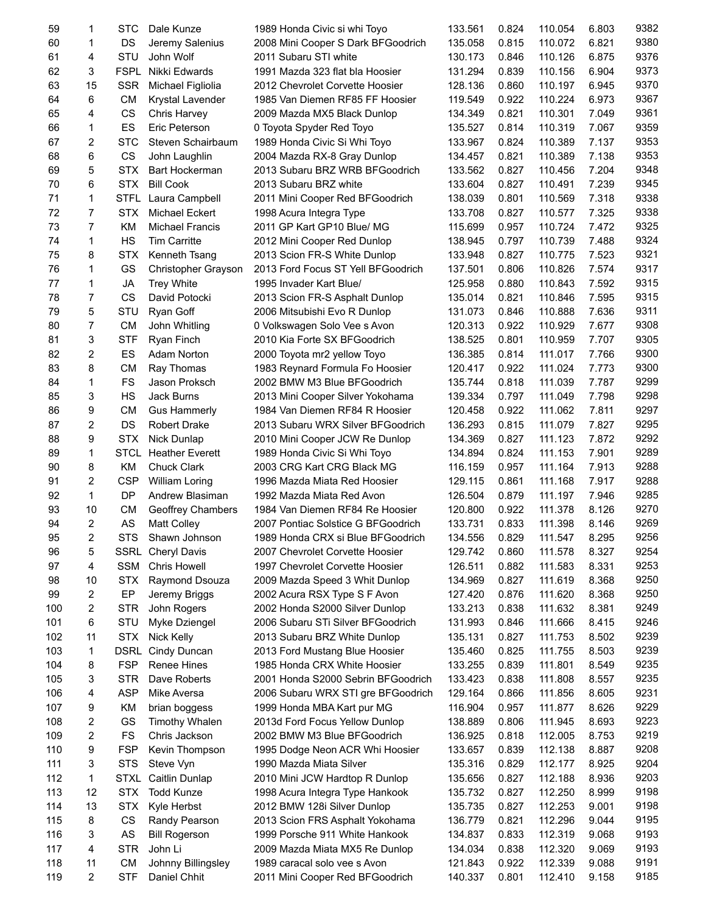| 59  | 1              | <b>STC</b>      | Dale Kunze               | 1989 Honda Civic si whi Toyo       | 133.561 | 0.824 | 110.054 | 6.803 | 9382 |
|-----|----------------|-----------------|--------------------------|------------------------------------|---------|-------|---------|-------|------|
| 60  | 1              | DS              | Jeremy Salenius          | 2008 Mini Cooper S Dark BFGoodrich | 135.058 | 0.815 | 110.072 | 6.821 | 9380 |
| 61  | 4              | STU             | John Wolf                | 2011 Subaru STI white              | 130.173 | 0.846 | 110.126 | 6.875 | 9376 |
| 62  | 3              | <b>FSPL</b>     | Nikki Edwards            | 1991 Mazda 323 flat bla Hoosier    | 131.294 | 0.839 | 110.156 | 6.904 | 9373 |
| 63  | 15             | <b>SSR</b>      | Michael Figliolia        | 2012 Chevrolet Corvette Hoosier    | 128.136 | 0.860 | 110.197 | 6.945 | 9370 |
| 64  | 6              | <b>CM</b>       | Krystal Lavender         | 1985 Van Diemen RF85 FF Hoosier    | 119.549 | 0.922 | 110.224 | 6.973 | 9367 |
| 65  | 4              | CS              | Chris Harvey             | 2009 Mazda MX5 Black Dunlop        | 134.349 | 0.821 | 110.301 | 7.049 | 9361 |
| 66  | 1              | ES              | Eric Peterson            | 0 Toyota Spyder Red Toyo           | 135.527 | 0.814 | 110.319 | 7.067 | 9359 |
| 67  | $\overline{2}$ | <b>STC</b>      | Steven Schairbaum        | 1989 Honda Civic Si Whi Toyo       | 133.967 | 0.824 | 110.389 | 7.137 | 9353 |
| 68  | 6              | CS              | John Laughlin            | 2004 Mazda RX-8 Gray Dunlop        | 134.457 | 0.821 | 110.389 | 7.138 | 9353 |
| 69  | 5              | <b>STX</b>      | Bart Hockerman           | 2013 Subaru BRZ WRB BFGoodrich     | 133.562 | 0.827 | 110.456 | 7.204 | 9348 |
| 70  | 6              | <b>STX</b>      | <b>Bill Cook</b>         | 2013 Subaru BRZ white              | 133.604 | 0.827 | 110.491 | 7.239 | 9345 |
| 71  | 1              | STFL            | Laura Campbell           | 2011 Mini Cooper Red BFGoodrich    | 138.039 | 0.801 | 110.569 | 7.318 | 9338 |
| 72  | 7              | <b>STX</b>      | <b>Michael Eckert</b>    | 1998 Acura Integra Type            | 133.708 | 0.827 | 110.577 | 7.325 | 9338 |
| 73  | $\overline{7}$ | <b>KM</b>       | <b>Michael Francis</b>   | 2011 GP Kart GP10 Blue/ MG         | 115.699 | 0.957 | 110.724 | 7.472 | 9325 |
| 74  | 1              | HS              | <b>Tim Carritte</b>      | 2012 Mini Cooper Red Dunlop        | 138.945 | 0.797 | 110.739 | 7.488 | 9324 |
| 75  | 8              | <b>STX</b>      | Kenneth Tsang            | 2013 Scion FR-S White Dunlop       | 133.948 | 0.827 | 110.775 | 7.523 | 9321 |
| 76  | 1              | GS              |                          |                                    | 137.501 | 0.806 | 110.826 | 7.574 | 9317 |
| 77  | 1              |                 | Christopher Grayson      | 2013 Ford Focus ST Yell BFGoodrich | 125.958 |       |         | 7.592 | 9315 |
|     | $\overline{7}$ | JA<br><b>CS</b> | <b>Trey White</b>        | 1995 Invader Kart Blue/            |         | 0.880 | 110.843 | 7.595 | 9315 |
| 78  |                |                 | David Potocki            | 2013 Scion FR-S Asphalt Dunlop     | 135.014 | 0.821 | 110.846 |       |      |
| 79  | 5              | STU             | Ryan Goff                | 2006 Mitsubishi Evo R Dunlop       | 131.073 | 0.846 | 110.888 | 7.636 | 9311 |
| 80  | 7              | <b>CM</b>       | John Whitling            | 0 Volkswagen Solo Vee s Avon       | 120.313 | 0.922 | 110.929 | 7.677 | 9308 |
| 81  | 3              | <b>STF</b>      | Ryan Finch               | 2010 Kia Forte SX BFGoodrich       | 138.525 | 0.801 | 110.959 | 7.707 | 9305 |
| 82  | $\overline{c}$ | ES              | Adam Norton              | 2000 Toyota mr2 yellow Toyo        | 136.385 | 0.814 | 111.017 | 7.766 | 9300 |
| 83  | 8              | <b>CM</b>       | Ray Thomas               | 1983 Reynard Formula Fo Hoosier    | 120.417 | 0.922 | 111.024 | 7.773 | 9300 |
| 84  | 1              | FS              | Jason Proksch            | 2002 BMW M3 Blue BFGoodrich        | 135.744 | 0.818 | 111.039 | 7.787 | 9299 |
| 85  | 3              | HS              | Jack Burns               | 2013 Mini Cooper Silver Yokohama   | 139.334 | 0.797 | 111.049 | 7.798 | 9298 |
| 86  | 9              | <b>CM</b>       | <b>Gus Hammerly</b>      | 1984 Van Diemen RF84 R Hoosier     | 120.458 | 0.922 | 111.062 | 7.811 | 9297 |
| 87  | 2              | DS              | <b>Robert Drake</b>      | 2013 Subaru WRX Silver BFGoodrich  | 136.293 | 0.815 | 111.079 | 7.827 | 9295 |
| 88  | 9              | <b>STX</b>      | Nick Dunlap              | 2010 Mini Cooper JCW Re Dunlop     | 134.369 | 0.827 | 111.123 | 7.872 | 9292 |
| 89  | 1              | <b>STCL</b>     | <b>Heather Everett</b>   | 1989 Honda Civic Si Whi Toyo       | 134.894 | 0.824 | 111.153 | 7.901 | 9289 |
| 90  | 8              | <b>KM</b>       | <b>Chuck Clark</b>       | 2003 CRG Kart CRG Black MG         | 116.159 | 0.957 | 111.164 | 7.913 | 9288 |
| 91  | 2              | <b>CSP</b>      | <b>William Loring</b>    | 1996 Mazda Miata Red Hoosier       | 129.115 | 0.861 | 111.168 | 7.917 | 9288 |
| 92  | 1              | DP              | Andrew Blasiman          | 1992 Mazda Miata Red Avon          | 126.504 | 0.879 | 111.197 | 7.946 | 9285 |
| 93  | 10             | <b>CM</b>       | Geoffrey Chambers        | 1984 Van Diemen RF84 Re Hoosier    | 120.800 | 0.922 | 111.378 | 8.126 | 9270 |
| 94  | $\overline{2}$ | AS              | <b>Matt Colley</b>       | 2007 Pontiac Solstice G BFGoodrich | 133.731 | 0.833 | 111.398 | 8.146 | 9269 |
| 95  | 2              | <b>STS</b>      | Shawn Johnson            | 1989 Honda CRX si Blue BFGoodrich  | 134.556 | 0.829 | 111.547 | 8.295 | 9256 |
| 96  | 5              |                 | <b>SSRL</b> Cheryl Davis | 2007 Chevrolet Corvette Hoosier    | 129.742 | 0.860 | 111.578 | 8.327 | 9254 |
| 97  | 4              | <b>SSM</b>      | <b>Chris Howell</b>      | 1997 Chevrolet Corvette Hoosier    | 126.511 | 0.882 | 111.583 | 8.331 | 9253 |
| 98  | 10             | <b>STX</b>      | Raymond Dsouza           | 2009 Mazda Speed 3 Whit Dunlop     | 134.969 | 0.827 | 111.619 | 8.368 | 9250 |
| 99  | 2              | EP              | Jeremy Briggs            | 2002 Acura RSX Type S F Avon       | 127.420 | 0.876 | 111.620 | 8.368 | 9250 |
| 100 | 2              | <b>STR</b>      | John Rogers              | 2002 Honda S2000 Silver Dunlop     | 133.213 | 0.838 | 111.632 | 8.381 | 9249 |
| 101 | 6              | STU             | Myke Dziengel            | 2006 Subaru STi Silver BFGoodrich  | 131.993 | 0.846 | 111.666 | 8.415 | 9246 |
| 102 | 11             | <b>STX</b>      | Nick Kelly               | 2013 Subaru BRZ White Dunlop       | 135.131 | 0.827 | 111.753 | 8.502 | 9239 |
| 103 | 1              | DSRL            | Cindy Duncan             | 2013 Ford Mustang Blue Hoosier     | 135.460 | 0.825 | 111.755 | 8.503 | 9239 |
| 104 | 8              | <b>FSP</b>      | Renee Hines              | 1985 Honda CRX White Hoosier       | 133.255 | 0.839 | 111.801 | 8.549 | 9235 |
| 105 | 3              | <b>STR</b>      | Dave Roberts             | 2001 Honda S2000 Sebrin BFGoodrich | 133.423 | 0.838 | 111.808 | 8.557 | 9235 |
| 106 | 4              | <b>ASP</b>      | Mike Aversa              | 2006 Subaru WRX STI gre BFGoodrich | 129.164 | 0.866 | 111.856 | 8.605 | 9231 |
| 107 | 9              | KM              | brian boggess            | 1999 Honda MBA Kart pur MG         | 116.904 | 0.957 | 111.877 | 8.626 | 9229 |
| 108 | 2              | GS              | Timothy Whalen           | 2013d Ford Focus Yellow Dunlop     | 138.889 | 0.806 | 111.945 | 8.693 | 9223 |
| 109 | 2              | FS              | Chris Jackson            | 2002 BMW M3 Blue BFGoodrich        | 136.925 | 0.818 | 112.005 | 8.753 | 9219 |
| 110 | 9              | <b>FSP</b>      | Kevin Thompson           | 1995 Dodge Neon ACR Whi Hoosier    | 133.657 | 0.839 | 112.138 | 8.887 | 9208 |
| 111 | 3              | <b>STS</b>      | Steve Vyn                | 1990 Mazda Miata Silver            | 135.316 | 0.829 | 112.177 | 8.925 | 9204 |
| 112 | 1              | <b>STXL</b>     | Caitlin Dunlap           | 2010 Mini JCW Hardtop R Dunlop     | 135.656 | 0.827 | 112.188 | 8.936 | 9203 |
| 113 | 12             | <b>STX</b>      | <b>Todd Kunze</b>        | 1998 Acura Integra Type Hankook    | 135.732 | 0.827 | 112.250 | 8.999 | 9198 |
|     | 13             |                 |                          |                                    |         |       |         |       | 9198 |
| 114 |                | <b>STX</b>      | Kyle Herbst              | 2012 BMW 128i Silver Dunlop        | 135.735 | 0.827 | 112.253 | 9.001 |      |
| 115 | 8              | CS              | Randy Pearson            | 2013 Scion FRS Asphalt Yokohama    | 136.779 | 0.821 | 112.296 | 9.044 | 9195 |
| 116 | 3              | AS              | <b>Bill Rogerson</b>     | 1999 Porsche 911 White Hankook     | 134.837 | 0.833 | 112.319 | 9.068 | 9193 |
| 117 | 4              | <b>STR</b>      | John Li                  | 2009 Mazda Miata MX5 Re Dunlop     | 134.034 | 0.838 | 112.320 | 9.069 | 9193 |
| 118 | 11             | <b>CM</b>       | Johnny Billingsley       | 1989 caracal solo vee s Avon       | 121.843 | 0.922 | 112.339 | 9.088 | 9191 |
| 119 | 2              | STF             | Daniel Chhit             | 2011 Mini Cooper Red BFGoodrich    | 140.337 | 0.801 | 112.410 | 9.158 | 9185 |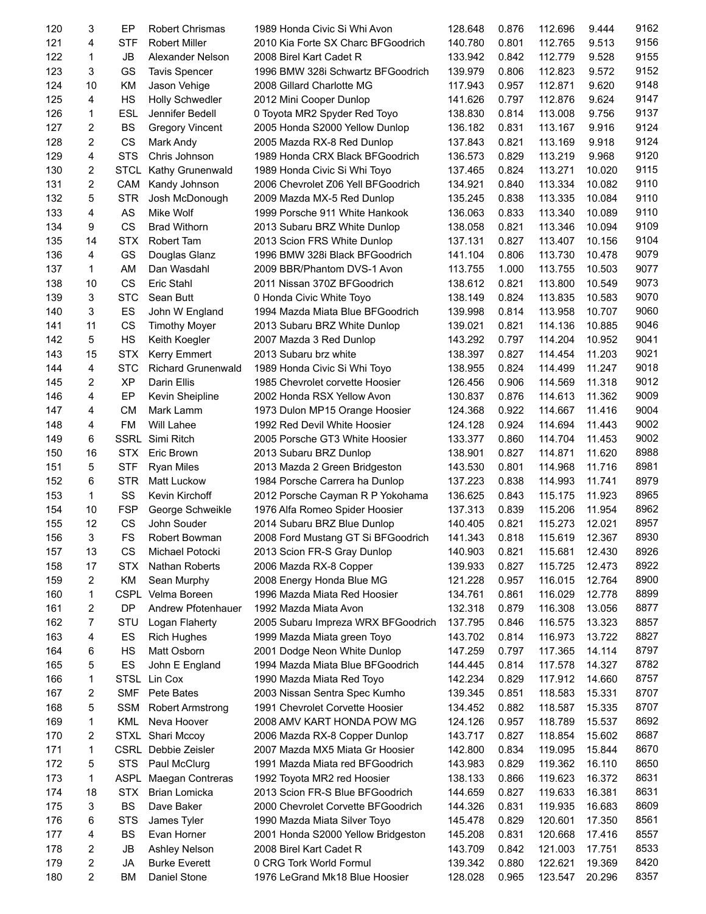| 120 | 3              | EP          | <b>Robert Chrismas</b>     | 1989 Honda Civic Si Whi Avon       | 128.648 | 0.876 | 112.696 | 9.444  | 9162 |
|-----|----------------|-------------|----------------------------|------------------------------------|---------|-------|---------|--------|------|
| 121 | 4              | <b>STF</b>  | <b>Robert Miller</b>       | 2010 Kia Forte SX Charc BFGoodrich | 140.780 | 0.801 | 112.765 | 9.513  | 9156 |
| 122 | 1              | <b>JB</b>   | Alexander Nelson           | 2008 Birel Kart Cadet R            | 133.942 | 0.842 | 112.779 | 9.528  | 9155 |
| 123 | 3              | GS          | <b>Tavis Spencer</b>       | 1996 BMW 328i Schwartz BFGoodrich  | 139.979 | 0.806 | 112.823 | 9.572  | 9152 |
| 124 | 10             | KM          | Jason Vehige               | 2008 Gillard Charlotte MG          | 117.943 | 0.957 | 112.871 | 9.620  | 9148 |
| 125 | 4              | HS          | <b>Holly Schwedler</b>     | 2012 Mini Cooper Dunlop            | 141.626 | 0.797 | 112.876 | 9.624  | 9147 |
| 126 | 1              | <b>ESL</b>  | Jennifer Bedell            | 0 Toyota MR2 Spyder Red Toyo       | 138.830 | 0.814 | 113.008 | 9.756  | 9137 |
| 127 | 2              | <b>BS</b>   | <b>Gregory Vincent</b>     | 2005 Honda S2000 Yellow Dunlop     | 136.182 | 0.831 | 113.167 | 9.916  | 9124 |
| 128 | 2              | CS          | Mark Andy                  | 2005 Mazda RX-8 Red Dunlop         | 137.843 | 0.821 | 113.169 | 9.918  | 9124 |
| 129 | $\overline{4}$ | <b>STS</b>  | Chris Johnson              | 1989 Honda CRX Black BFGoodrich    | 136.573 | 0.829 | 113.219 | 9.968  | 9120 |
| 130 | 2              | <b>STCL</b> | Kathy Grunenwald           | 1989 Honda Civic Si Whi Toyo       | 137.465 | 0.824 | 113.271 | 10.020 | 9115 |
| 131 | 2              | CAM         | Kandy Johnson              | 2006 Chevrolet Z06 Yell BFGoodrich | 134.921 | 0.840 | 113.334 | 10.082 | 9110 |
| 132 | 5              | <b>STR</b>  | Josh McDonough             | 2009 Mazda MX-5 Red Dunlop         | 135.245 | 0.838 | 113.335 | 10.084 | 9110 |
| 133 | 4              | AS          | Mike Wolf                  | 1999 Porsche 911 White Hankook     | 136.063 | 0.833 | 113.340 | 10.089 | 9110 |
| 134 | 9              | <b>CS</b>   | <b>Brad Withorn</b>        | 2013 Subaru BRZ White Dunlop       | 138.058 | 0.821 | 113.346 | 10.094 | 9109 |
| 135 | 14             | <b>STX</b>  | Robert Tam                 | 2013 Scion FRS White Dunlop        | 137.131 | 0.827 | 113.407 | 10.156 | 9104 |
|     |                |             |                            |                                    |         |       |         | 10.478 | 9079 |
| 136 | 4              | GS          | Douglas Glanz              | 1996 BMW 328i Black BFGoodrich     | 141.104 | 0.806 | 113.730 |        |      |
| 137 | 1              | AM          | Dan Wasdahl                | 2009 BBR/Phantom DVS-1 Avon        | 113.755 | 1.000 | 113.755 | 10.503 | 9077 |
| 138 | 10             | CS          | Eric Stahl                 | 2011 Nissan 370Z BFGoodrich        | 138.612 | 0.821 | 113.800 | 10.549 | 9073 |
| 139 | 3              | <b>STC</b>  | Sean Butt                  | 0 Honda Civic White Toyo           | 138.149 | 0.824 | 113.835 | 10.583 | 9070 |
| 140 | 3              | ES          | John W England             | 1994 Mazda Miata Blue BFGoodrich   | 139.998 | 0.814 | 113.958 | 10.707 | 9060 |
| 141 | 11             | CS          | <b>Timothy Moyer</b>       | 2013 Subaru BRZ White Dunlop       | 139.021 | 0.821 | 114.136 | 10.885 | 9046 |
| 142 | 5              | HS          | Keith Koegler              | 2007 Mazda 3 Red Dunlop            | 143.292 | 0.797 | 114.204 | 10.952 | 9041 |
| 143 | 15             | <b>STX</b>  | <b>Kerry Emmert</b>        | 2013 Subaru brz white              | 138.397 | 0.827 | 114.454 | 11.203 | 9021 |
| 144 | 4              | <b>STC</b>  | <b>Richard Grunenwald</b>  | 1989 Honda Civic Si Whi Toyo       | 138.955 | 0.824 | 114.499 | 11.247 | 9018 |
| 145 | 2              | <b>XP</b>   | Darin Ellis                | 1985 Chevrolet corvette Hoosier    | 126.456 | 0.906 | 114.569 | 11.318 | 9012 |
| 146 | 4              | EP          | Kevin Sheipline            | 2002 Honda RSX Yellow Avon         | 130.837 | 0.876 | 114.613 | 11.362 | 9009 |
| 147 | 4              | <b>CM</b>   | Mark Lamm                  | 1973 Dulon MP15 Orange Hoosier     | 124.368 | 0.922 | 114.667 | 11.416 | 9004 |
| 148 | 4              | FM          | Will Lahee                 | 1992 Red Devil White Hoosier       | 124.128 | 0.924 | 114.694 | 11.443 | 9002 |
| 149 | 6              | <b>SSRL</b> | Simi Ritch                 | 2005 Porsche GT3 White Hoosier     | 133.377 | 0.860 | 114.704 | 11.453 | 9002 |
| 150 | 16             | <b>STX</b>  | Eric Brown                 | 2013 Subaru BRZ Dunlop             | 138.901 | 0.827 | 114.871 | 11.620 | 8988 |
| 151 | 5              | <b>STF</b>  | Ryan Miles                 | 2013 Mazda 2 Green Bridgeston      | 143.530 | 0.801 | 114.968 | 11.716 | 8981 |
| 152 | 6              | <b>STR</b>  | <b>Matt Luckow</b>         | 1984 Porsche Carrera ha Dunlop     | 137.223 | 0.838 | 114.993 | 11.741 | 8979 |
| 153 | 1              | SS          | Kevin Kirchoff             | 2012 Porsche Cayman R P Yokohama   | 136.625 | 0.843 | 115.175 | 11.923 | 8965 |
| 154 | 10             | <b>FSP</b>  | George Schweikle           | 1976 Alfa Romeo Spider Hoosier     | 137.313 | 0.839 | 115.206 | 11.954 | 8962 |
| 155 | 12             | CS          | John Souder                | 2014 Subaru BRZ Blue Dunlop        | 140.405 | 0.821 | 115.273 | 12.021 | 8957 |
| 156 | 3              | FS          | Robert Bowman              | 2008 Ford Mustang GT Si BFGoodrich | 141.343 | 0.818 | 115.619 | 12.367 | 8930 |
| 157 | 13             | CS          | Michael Potocki            | 2013 Scion FR-S Gray Dunlop        | 140.903 | 0.821 | 115.681 | 12.430 | 8926 |
| 158 |                |             | Nathan Roberts             | 2006 Mazda RX-8 Copper             |         | 0.827 | 115.725 |        | 8922 |
|     | 17             | <b>STX</b>  |                            |                                    | 139.933 |       |         | 12.473 | 8900 |
| 159 | 2              | ΚM          | Sean Murphy                | 2008 Energy Honda Blue MG          | 121.228 | 0.957 | 116.015 | 12.764 |      |
| 160 | 1              | <b>CSPL</b> | Velma Boreen               | 1996 Mazda Miata Red Hoosier       | 134.761 | 0.861 | 116.029 | 12.778 | 8899 |
| 161 | 2              | DP          | Andrew Pfotenhauer         | 1992 Mazda Miata Avon              | 132.318 | 0.879 | 116.308 | 13.056 | 8877 |
| 162 | 7              | STU         | Logan Flaherty             | 2005 Subaru Impreza WRX BFGoodrich | 137.795 | 0.846 | 116.575 | 13.323 | 8857 |
| 163 | 4              | ES          | <b>Rich Hughes</b>         | 1999 Mazda Miata green Toyo        | 143.702 | 0.814 | 116.973 | 13.722 | 8827 |
| 164 | 6              | HS          | Matt Osborn                | 2001 Dodge Neon White Dunlop       | 147.259 | 0.797 | 117.365 | 14.114 | 8797 |
| 165 | 5              | ES          | John E England             | 1994 Mazda Miata Blue BFGoodrich   | 144.445 | 0.814 | 117.578 | 14.327 | 8782 |
| 166 | 1              |             | STSL Lin Cox               | 1990 Mazda Miata Red Toyo          | 142.234 | 0.829 | 117.912 | 14.660 | 8757 |
| 167 | 2              | <b>SMF</b>  | Pete Bates                 | 2003 Nissan Sentra Spec Kumho      | 139.345 | 0.851 | 118.583 | 15.331 | 8707 |
| 168 | 5              | SSM         | Robert Armstrong           | 1991 Chevrolet Corvette Hoosier    | 134.452 | 0.882 | 118.587 | 15.335 | 8707 |
| 169 | 1              | <b>KML</b>  | Neva Hoover                | 2008 AMV KART HONDA POW MG         | 124.126 | 0.957 | 118.789 | 15.537 | 8692 |
| 170 | 2              | STXL        | Shari Mccoy                | 2006 Mazda RX-8 Copper Dunlop      | 143.717 | 0.827 | 118.854 | 15.602 | 8687 |
| 171 | 1              |             | <b>CSRL</b> Debbie Zeisler | 2007 Mazda MX5 Miata Gr Hoosier    | 142.800 | 0.834 | 119.095 | 15.844 | 8670 |
| 172 | 5              | <b>STS</b>  | Paul McClurg               | 1991 Mazda Miata red BFGoodrich    | 143.983 | 0.829 | 119.362 | 16.110 | 8650 |
| 173 | 1              | ASPL        | Maegan Contreras           | 1992 Toyota MR2 red Hoosier        | 138.133 | 0.866 | 119.623 | 16.372 | 8631 |
| 174 | 18             | <b>STX</b>  | Brian Lomicka              | 2013 Scion FR-S Blue BFGoodrich    | 144.659 | 0.827 | 119.633 | 16.381 | 8631 |
| 175 | 3              | <b>BS</b>   | Dave Baker                 | 2000 Chevrolet Corvette BFGoodrich | 144.326 | 0.831 | 119.935 | 16.683 | 8609 |
| 176 | 6              | <b>STS</b>  | James Tyler                | 1990 Mazda Miata Silver Toyo       | 145.478 | 0.829 | 120.601 | 17.350 | 8561 |
| 177 | 4              | BS          | Evan Horner                | 2001 Honda S2000 Yellow Bridgeston | 145.208 | 0.831 | 120.668 | 17.416 | 8557 |
| 178 | 2              | JB          | Ashley Nelson              | 2008 Birel Kart Cadet R            | 143.709 | 0.842 | 121.003 | 17.751 | 8533 |
| 179 | 2              | JA          | <b>Burke Everett</b>       | 0 CRG Tork World Formul            | 139.342 | 0.880 | 122.621 | 19.369 | 8420 |
| 180 | 2              | ВM          | Daniel Stone               | 1976 LeGrand Mk18 Blue Hoosier     | 128.028 | 0.965 | 123.547 | 20.296 | 8357 |
|     |                |             |                            |                                    |         |       |         |        |      |